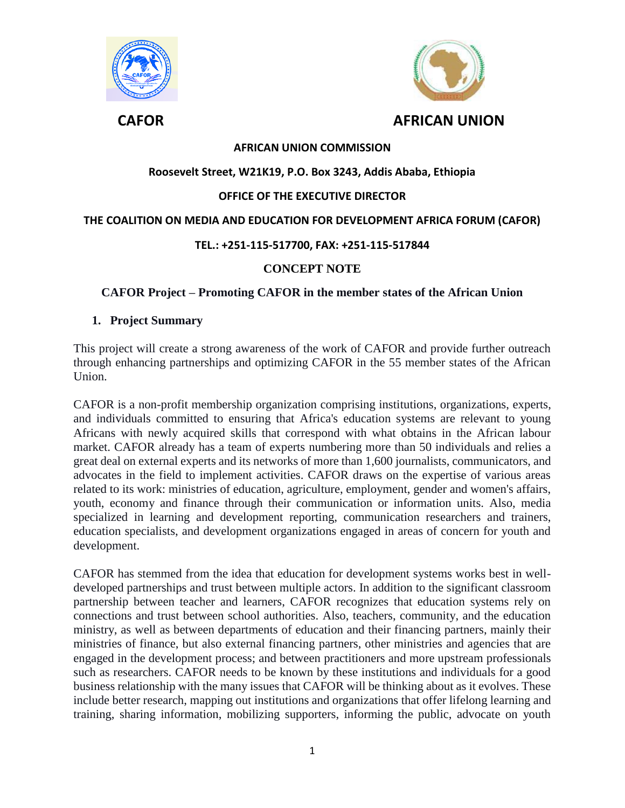



# **AFRICAN UNION COMMISSION**

## **Roosevelt Street, W21K19, P.O. Box 3243, Addis Ababa, Ethiopia**

## **OFFICE OF THE EXECUTIVE DIRECTOR**

## **THE COALITION ON MEDIA AND EDUCATION FOR DEVELOPMENT AFRICA FORUM (CAFOR)**

## **TEL.: +251-115-517700, FAX: +251-115-517844**

## **CONCEPT NOTE**

## **CAFOR Project – Promoting CAFOR in the member states of the African Union**

#### **1. Project Summary**

This project will create a strong awareness of the work of CAFOR and provide further outreach through enhancing partnerships and optimizing CAFOR in the 55 member states of the African Union.

CAFOR is a non-profit membership organization comprising institutions, organizations, experts, and individuals committed to ensuring that Africa's education systems are relevant to young Africans with newly acquired skills that correspond with what obtains in the African labour market. CAFOR already has a team of experts numbering more than 50 individuals and relies a great deal on external experts and its networks of more than 1,600 journalists, communicators, and advocates in the field to implement activities. CAFOR draws on the expertise of various areas related to its work: ministries of education, agriculture, employment, gender and women's affairs, youth, economy and finance through their communication or information units. Also, media specialized in learning and development reporting, communication researchers and trainers, education specialists, and development organizations engaged in areas of concern for youth and development.

CAFOR has stemmed from the idea that education for development systems works best in welldeveloped partnerships and trust between multiple actors. In addition to the significant classroom partnership between teacher and learners, CAFOR recognizes that education systems rely on connections and trust between school authorities. Also, teachers, community, and the education ministry, as well as between departments of education and their financing partners, mainly their ministries of finance, but also external financing partners, other ministries and agencies that are engaged in the development process; and between practitioners and more upstream professionals such as researchers. CAFOR needs to be known by these institutions and individuals for a good business relationship with the many issues that CAFOR will be thinking about as it evolves. These include better research, mapping out institutions and organizations that offer lifelong learning and training, sharing information, mobilizing supporters, informing the public, advocate on youth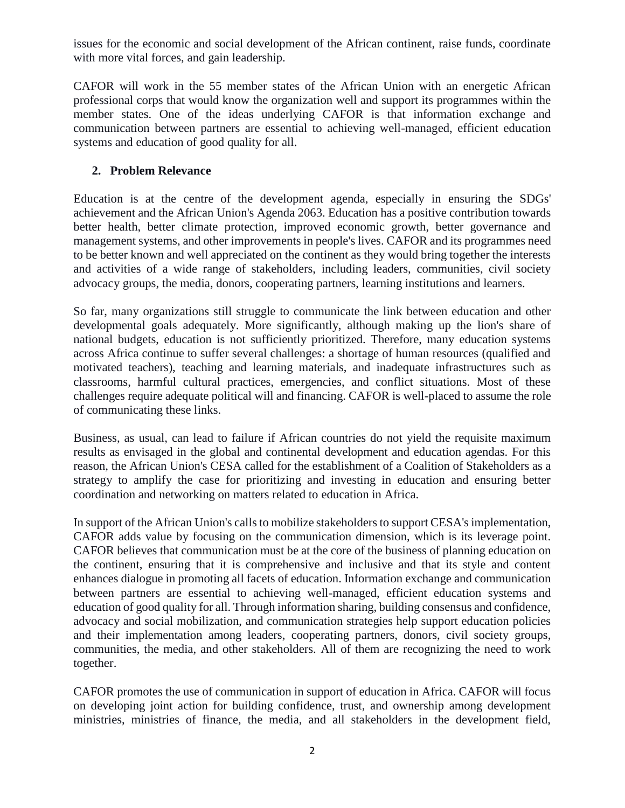issues for the economic and social development of the African continent, raise funds, coordinate with more vital forces, and gain leadership.

CAFOR will work in the 55 member states of the African Union with an energetic African professional corps that would know the organization well and support its programmes within the member states. One of the ideas underlying CAFOR is that information exchange and communication between partners are essential to achieving well-managed, efficient education systems and education of good quality for all.

# **2. Problem Relevance**

Education is at the centre of the development agenda, especially in ensuring the SDGs' achievement and the African Union's Agenda 2063. Education has a positive contribution towards better health, better climate protection, improved economic growth, better governance and management systems, and other improvements in people's lives. CAFOR and its programmes need to be better known and well appreciated on the continent as they would bring together the interests and activities of a wide range of stakeholders, including leaders, communities, civil society advocacy groups, the media, donors, cooperating partners, learning institutions and learners.

So far, many organizations still struggle to communicate the link between education and other developmental goals adequately. More significantly, although making up the lion's share of national budgets, education is not sufficiently prioritized. Therefore, many education systems across Africa continue to suffer several challenges: a shortage of human resources (qualified and motivated teachers), teaching and learning materials, and inadequate infrastructures such as classrooms, harmful cultural practices, emergencies, and conflict situations. Most of these challenges require adequate political will and financing. CAFOR is well-placed to assume the role of communicating these links.

Business, as usual, can lead to failure if African countries do not yield the requisite maximum results as envisaged in the global and continental development and education agendas. For this reason, the African Union's CESA called for the establishment of a Coalition of Stakeholders as a strategy to amplify the case for prioritizing and investing in education and ensuring better coordination and networking on matters related to education in Africa.

In support of the African Union's calls to mobilize stakeholders to support CESA's implementation, CAFOR adds value by focusing on the communication dimension, which is its leverage point. CAFOR believes that communication must be at the core of the business of planning education on the continent, ensuring that it is comprehensive and inclusive and that its style and content enhances dialogue in promoting all facets of education. Information exchange and communication between partners are essential to achieving well-managed, efficient education systems and education of good quality for all. Through information sharing, building consensus and confidence, advocacy and social mobilization, and communication strategies help support education policies and their implementation among leaders, cooperating partners, donors, civil society groups, communities, the media, and other stakeholders. All of them are recognizing the need to work together.

CAFOR promotes the use of communication in support of education in Africa. CAFOR will focus on developing joint action for building confidence, trust, and ownership among development ministries, ministries of finance, the media, and all stakeholders in the development field,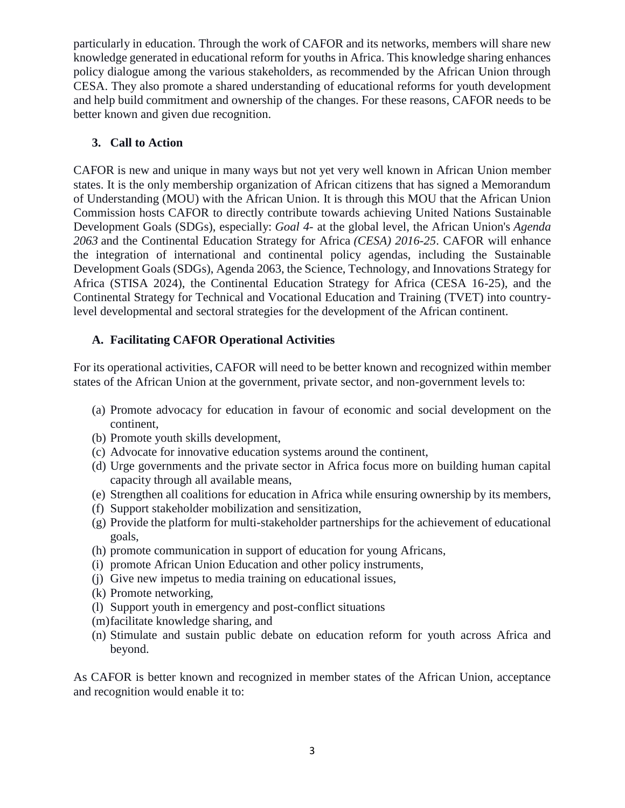particularly in education. Through the work of CAFOR and its networks, members will share new knowledge generated in educational reform for youths in Africa. This knowledge sharing enhances policy dialogue among the various stakeholders, as recommended by the African Union through CESA. They also promote a shared understanding of educational reforms for youth development and help build commitment and ownership of the changes. For these reasons, CAFOR needs to be better known and given due recognition.

# **3. Call to Action**

CAFOR is new and unique in many ways but not yet very well known in African Union member states. It is the only membership organization of African citizens that has signed a Memorandum of Understanding (MOU) with the African Union. It is through this MOU that the African Union Commission hosts CAFOR to directly contribute towards achieving United Nations Sustainable Development Goals (SDGs), especially: *Goal 4*- at the global level, the African Union's *Agenda 2063* and the Continental Education Strategy for Africa *(CESA) 2016-25*. CAFOR will enhance the integration of international and continental policy agendas, including the Sustainable Development Goals (SDGs), Agenda 2063, the Science, Technology, and Innovations Strategy for Africa (STISA 2024), the Continental Education Strategy for Africa (CESA 16-25), and the Continental Strategy for Technical and Vocational Education and Training (TVET) into countrylevel developmental and sectoral strategies for the development of the African continent.

# **A. Facilitating CAFOR Operational Activities**

For its operational activities, CAFOR will need to be better known and recognized within member states of the African Union at the government, private sector, and non-government levels to:

- (a) Promote advocacy for education in favour of economic and social development on the continent,
- (b) Promote youth skills development,
- (c) Advocate for innovative education systems around the continent,
- (d) Urge governments and the private sector in Africa focus more on building human capital capacity through all available means,
- (e) Strengthen all coalitions for education in Africa while ensuring ownership by its members,
- (f) Support stakeholder mobilization and sensitization,
- (g) Provide the platform for multi-stakeholder partnerships for the achievement of educational goals,
- (h) promote communication in support of education for young Africans,
- (i) promote African Union Education and other policy instruments,
- (j) Give new impetus to media training on educational issues,
- (k) Promote networking,
- (l) Support youth in emergency and post-conflict situations
- (m)facilitate knowledge sharing, and
- (n) Stimulate and sustain public debate on education reform for youth across Africa and beyond.

As CAFOR is better known and recognized in member states of the African Union, acceptance and recognition would enable it to: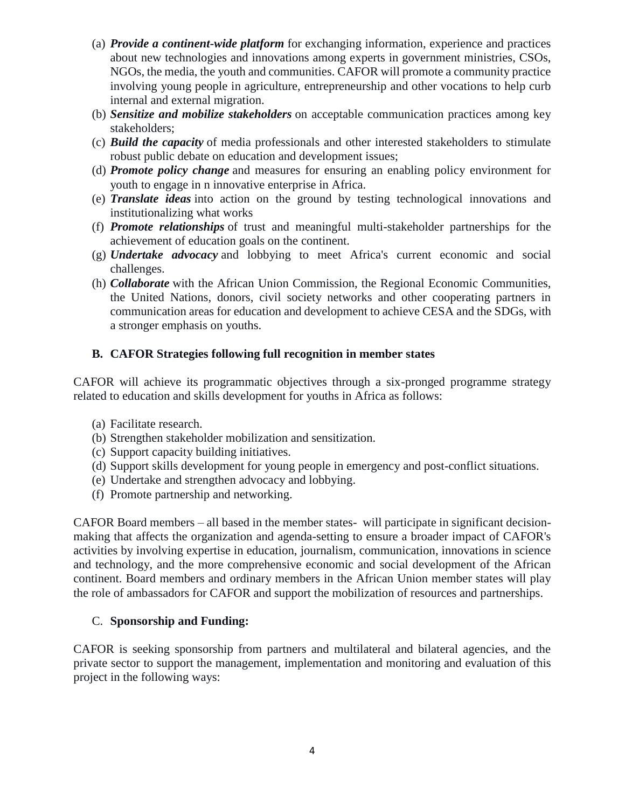- (a) *Provide a continent-wide platform* for exchanging information, experience and practices about new technologies and innovations among experts in government ministries, CSOs, NGOs, the media, the youth and communities. CAFOR will promote a community practice involving young people in agriculture, entrepreneurship and other vocations to help curb internal and external migration.
- (b) *Sensitize and mobilize stakeholders* on acceptable communication practices among key stakeholders;
- (c) *Build the capacity* of media professionals and other interested stakeholders to stimulate robust public debate on education and development issues;
- (d) *Promote policy change* and measures for ensuring an enabling policy environment for youth to engage in n innovative enterprise in Africa.
- (e) *Translate ideas* into action on the ground by testing technological innovations and institutionalizing what works
- (f) *Promote relationships* of trust and meaningful multi-stakeholder partnerships for the achievement of education goals on the continent.
- (g) *Undertake advocacy* and lobbying to meet Africa's current economic and social challenges.
- (h) *Collaborate* with the African Union Commission, the Regional Economic Communities, the United Nations, donors, civil society networks and other cooperating partners in communication areas for education and development to achieve CESA and the SDGs, with a stronger emphasis on youths.

## **B. CAFOR Strategies following full recognition in member states**

CAFOR will achieve its programmatic objectives through a six-pronged programme strategy related to education and skills development for youths in Africa as follows:

- (a) Facilitate research.
- (b) Strengthen stakeholder mobilization and sensitization.
- (c) Support capacity building initiatives.
- (d) Support skills development for young people in emergency and post-conflict situations.
- (e) Undertake and strengthen advocacy and lobbying.
- (f) Promote partnership and networking.

CAFOR Board members – all based in the member states- will participate in significant decisionmaking that affects the organization and agenda-setting to ensure a broader impact of CAFOR's activities by involving expertise in education, journalism, communication, innovations in science and technology, and the more comprehensive economic and social development of the African continent. Board members and ordinary members in the African Union member states will play the role of ambassadors for CAFOR and support the mobilization of resources and partnerships.

## C. **Sponsorship and Funding:**

CAFOR is seeking sponsorship from partners and multilateral and bilateral agencies, and the private sector to support the management, implementation and monitoring and evaluation of this project in the following ways: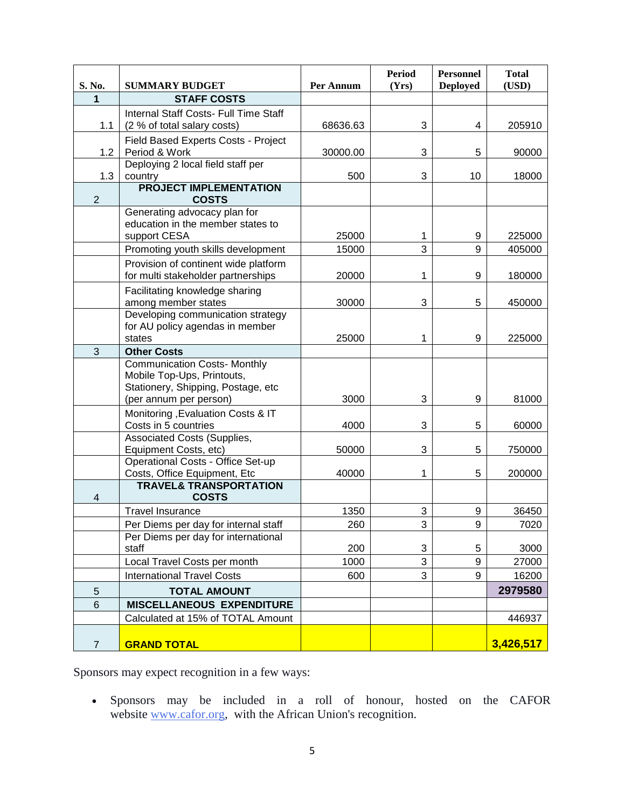| S. No.                  | <b>SUMMARY BUDGET</b>                                                      | Per Annum | <b>Period</b><br>(Yrs) | <b>Personnel</b><br><b>Deployed</b> | <b>Total</b><br>(USD) |
|-------------------------|----------------------------------------------------------------------------|-----------|------------------------|-------------------------------------|-----------------------|
| 1                       | <b>STAFF COSTS</b>                                                         |           |                        |                                     |                       |
|                         | Internal Staff Costs- Full Time Staff                                      |           |                        |                                     |                       |
| 1.1                     | (2 % of total salary costs)                                                | 68636.63  | 3                      | 4                                   | 205910                |
|                         | Field Based Experts Costs - Project                                        |           |                        |                                     |                       |
| 1.2                     | Period & Work                                                              | 30000.00  | 3                      | 5                                   | 90000                 |
|                         | Deploying 2 local field staff per                                          |           |                        |                                     |                       |
| 1.3                     | country                                                                    | 500       | 3                      | 10                                  | 18000                 |
|                         | <b>PROJECT IMPLEMENTATION</b>                                              |           |                        |                                     |                       |
| $\overline{2}$          | <b>COSTS</b>                                                               |           |                        |                                     |                       |
|                         | Generating advocacy plan for                                               |           |                        |                                     |                       |
|                         | education in the member states to                                          |           |                        |                                     |                       |
|                         | support CESA                                                               | 25000     | 1<br>3                 | 9<br>9                              | 225000                |
|                         | Promoting youth skills development                                         | 15000     |                        |                                     | 405000                |
|                         | Provision of continent wide platform<br>for multi stakeholder partnerships |           |                        |                                     |                       |
|                         |                                                                            | 20000     | 1                      | 9                                   | 180000                |
|                         | Facilitating knowledge sharing                                             | 30000     | 3                      | 5                                   |                       |
|                         | among member states<br>Developing communication strategy                   |           |                        |                                     | 450000                |
|                         | for AU policy agendas in member                                            |           |                        |                                     |                       |
|                         | states                                                                     | 25000     | 1                      | 9                                   | 225000                |
| 3                       | <b>Other Costs</b>                                                         |           |                        |                                     |                       |
|                         | <b>Communication Costs- Monthly</b>                                        |           |                        |                                     |                       |
|                         | Mobile Top-Ups, Printouts,                                                 |           |                        |                                     |                       |
|                         | Stationery, Shipping, Postage, etc                                         |           |                        |                                     |                       |
|                         | (per annum per person)                                                     | 3000      | 3                      | 9                                   | 81000                 |
|                         | Monitoring , Evaluation Costs & IT                                         |           |                        |                                     |                       |
|                         | Costs in 5 countries                                                       | 4000      | 3                      | 5                                   | 60000                 |
|                         | Associated Costs (Supplies,                                                |           |                        |                                     |                       |
|                         | Equipment Costs, etc)                                                      | 50000     | 3                      | 5                                   | 750000                |
|                         | Operational Costs - Office Set-up                                          |           |                        |                                     |                       |
|                         | Costs, Office Equipment, Etc<br><b>TRAVEL&amp; TRANSPORTATION</b>          | 40000     | 1                      | 5                                   | 200000                |
| $\overline{\mathbf{4}}$ | <b>COSTS</b>                                                               |           |                        |                                     |                       |
|                         | <b>Travel Insurance</b>                                                    | 1350      | 3                      | 9                                   | 36450                 |
|                         | Per Diems per day for internal staff                                       | 260       | $\overline{3}$         | $\boldsymbol{9}$                    | 7020                  |
|                         | Per Diems per day for international                                        |           |                        |                                     |                       |
|                         | staff                                                                      | 200       | 3                      | 5                                   | 3000                  |
|                         | Local Travel Costs per month                                               | 1000      | 3                      | 9                                   | 27000                 |
|                         | <b>International Travel Costs</b>                                          | 600       | 3                      | 9                                   | 16200                 |
| $\sqrt{5}$              | <b>TOTAL AMOUNT</b>                                                        |           |                        |                                     | 2979580               |
| $6\phantom{1}$          | <b>MISCELLANEOUS EXPENDITURE</b>                                           |           |                        |                                     |                       |
|                         | Calculated at 15% of TOTAL Amount                                          |           |                        |                                     | 446937                |
|                         |                                                                            |           |                        |                                     |                       |
| $\overline{7}$          | <b>GRAND TOTAL</b>                                                         |           |                        |                                     | 3,426,517             |

Sponsors may expect recognition in a few ways:

 Sponsors may be included in a roll of honour, hosted on the CAFOR website [www.cafor.org,](http://www.cafor.org/) with the African Union's recognition.